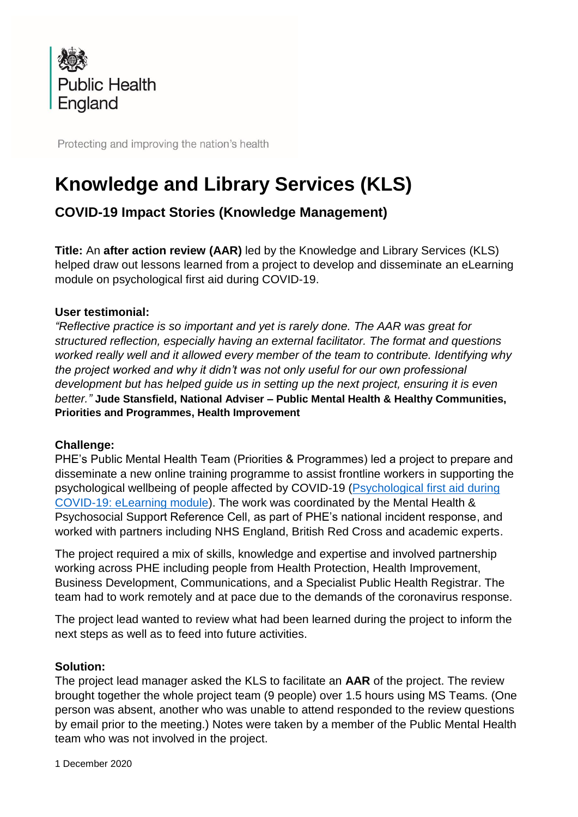

Protecting and improving the nation's health

# **Knowledge and Library Services (KLS)**

# **COVID-19 Impact Stories (Knowledge Management)**

**Title:** An **after action review (AAR)** led by the Knowledge and Library Services (KLS) helped draw out lessons learned from a project to develop and disseminate an eLearning module on psychological first aid during COVID-19.

# **User testimonial:**

*"Reflective practice is so important and yet is rarely done. The AAR was great for structured reflection, especially having an external facilitator. The format and questions worked really well and it allowed every member of the team to contribute. Identifying why the project worked and why it didn't was not only useful for our own professional development but has helped guide us in setting up the next project, ensuring it is even better."* **Jude Stansfield, National Adviser – Public Mental Health & Healthy Communities, Priorities and Programmes, Health Improvement**

# **Challenge:**

PHE's Public Mental Health Team (Priorities & Programmes) led a project to prepare and disseminate a new online training programme to assist frontline workers in supporting the psychological wellbeing of people affected by COVID-19 [\(Psychological first aid during](https://www.futurelearn.com/courses/psychological-first-aid-covid-19)  [COVID-19: eLearning module\)](https://www.futurelearn.com/courses/psychological-first-aid-covid-19). The work was coordinated by the Mental Health & Psychosocial Support Reference Cell, as part of PHE's national incident response, and worked with partners including NHS England, British Red Cross and academic experts.

The project required a mix of skills, knowledge and expertise and involved partnership working across PHE including people from Health Protection, Health Improvement, Business Development, Communications, and a Specialist Public Health Registrar. The team had to work remotely and at pace due to the demands of the coronavirus response.

The project lead wanted to review what had been learned during the project to inform the next steps as well as to feed into future activities.

# **Solution:**

The project lead manager asked the KLS to facilitate an **AAR** of the project. The review brought together the whole project team (9 people) over 1.5 hours using MS Teams. (One person was absent, another who was unable to attend responded to the review questions by email prior to the meeting.) Notes were taken by a member of the Public Mental Health team who was not involved in the project.